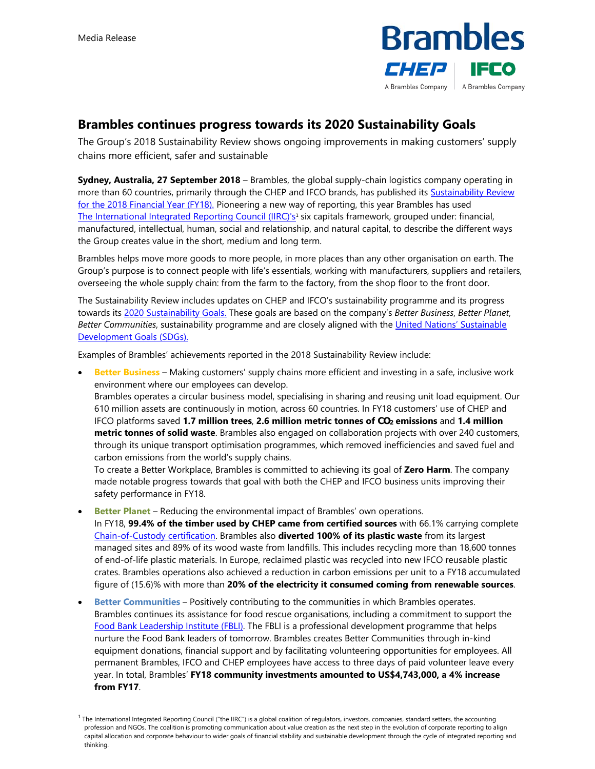

## **Brambles continues progress towards its 2020 Sustainability Goals**

The Group's 2018 Sustainability Review shows ongoing improvements in making customers' supply chains more efficient, safer and sustainable

**Sydney, Australia, 27 September 2018** – Brambles, the global supply-chain logistics company operating in more than 60 countries, primarily through the CHEP and IFCO brands, has published its **Sustainability Review** for the 2018 Financial Year (FY18). Pioneering a new way of reporting, this year Brambles has used [The International Integrated Reporting Council \(IIRC\)'s](http://integratedreporting.org/)<sup>1</sup> six capitals framework, grouped under: financial, manufactured, intellectual, human, social and relationship, and natural capital, to describe the different ways the Group creates value in the short, medium and long term.

Brambles helps move more goods to more people, in more places than any other organisation on earth. The Group's purpose is to connect people with life's essentials, working with manufacturers, suppliers and retailers, overseeing the whole supply chain: from the farm to the factory, from the shop floor to the front door.

The Sustainability Review includes updates on CHEP and IFCO's sustainability programme and its progress towards its [2020 Sustainability Goals.](https://www.brambles.com/interactive-infographic/) These goals are based on the company's *Better Business*, *Better Planet*, *Better Communities*[, sustainability programme and are closely aligned with the United Nations' Sustainable](https://sustainabledevelopment.un.org/?menu=1300)  Development Goals (SDGs).

Examples of Brambles' achievements reported in the 2018 Sustainability Review include:

 **Better Business** – Making customers' supply chains more efficient and investing in a safe, inclusive work environment where our employees can develop.

Brambles operates a circular business model, specialising in sharing and reusing unit load equipment. Our 610 million assets are continuously in motion, across 60 countries. In FY18 customers' use of CHEP and IFCO platforms saved **1.7 million trees**, **2.6 million metric tonnes of CO2 emissions** and **1.4 million metric tonnes of solid waste**. Brambles also engaged on collaboration projects with over 240 customers, through its unique transport optimisation programmes, which removed inefficiencies and saved fuel and carbon emissions from the world's supply chains.

To create a Better Workplace, Brambles is committed to achieving its goal of **Zero Harm**. The company made notable progress towards that goal with both the CHEP and IFCO business units improving their safety performance in FY18.

 **Better Planet** – Reducing the environmental impact of Brambles' own operations. In FY18, **99.4% of the timber used by CHEP came from certified sources** with 66.1% carrying complete [Chain-of-Custody certification.](https://us.fsc.org/en-us/certification/chain-of-custody-certification) Brambles also **diverted 100% of its plastic waste** from its largest managed sites and 89% of its wood waste from landfills. This includes recycling more than 18,600 tonnes of end-of-life plastic materials. In Europe, reclaimed plastic was recycled into new IFCO reusable plastic crates. Brambles operations also achieved a reduction in carbon emissions per unit to a FY18 accumulated figure of (15.6)% with more than **20% of the electricity it consumed coming from renewable sources**.

 **Better Communities** – Positively contributing to the communities in which Brambles operates. Brambles continues its assistance for food rescue organisations, including a commitment to support the [Food Bank Leadership Institute \(FBLI\)](https://www.foodbanking.org/what-we-do/training-and-knowledge-exchange-2/). The FBLI is a professional development programme that helps nurture the Food Bank leaders of tomorrow. Brambles creates Better Communities through in-kind equipment donations, financial support and by facilitating volunteering opportunities for employees. All permanent Brambles, IFCO and CHEP employees have access to three days of paid volunteer leave every year. In total, Brambles' **FY18 community investments amounted to US\$4,743,000, a 4% increase from FY17**.

<sup>&</sup>lt;sup>1</sup> The International Integrated Reporting Council ("the IIRC") is a global coalition of regulators, investors, companies, standard setters, the accounting profession and NGOs. The coalition is promoting communication about value creation as the next step in the evolution of corporate reporting to align capital allocation and corporate behaviour to wider goals of financial stability and sustainable development through the cycle of integrated reporting and thinking.